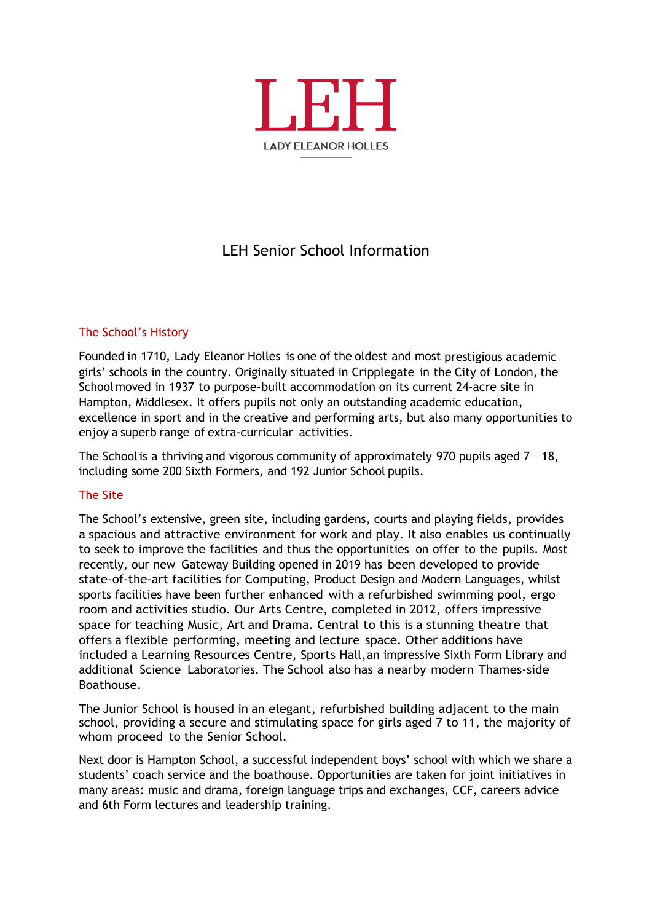

# LEH Senior School Information

# The School's History

Founded in 1710, Lady Eleanor Holles is one of the oldest and most prestigious academic girls' schools in the country. Originally situated in Cripplegate in the City of London, the School moved in 1937 to purpose-built accommodation on its current 24-acre site in Hampton, Middlesex. It offers pupils not only an outstanding academic education, excellence in sport and in the creative and performing arts, but also many opportunities to enjoy a superb range of extra-curricular activities.

The Schoolis a thriving and vigorous community of approximately 970 pupils aged 7 – 18, including some 200 Sixth Formers, and 192 Junior School pupils.

## The Site

The School's extensive, green site, including gardens, courts and playing fields, provides a spacious and attractive environment for work and play. It also enables us continually to seek to improve the facilities and thus the opportunities on offer to the pupils. Most recently, our new Gateway Building opened in 2019 has been developed to provide state-of-the-art facilities for Computing, Product Design and Modern Languages, whilst sports facilities have been further enhanced with a refurbished swimming pool, ergo room and activities studio. Our Arts Centre, completed in 2012, offers impressive space for teaching Music, Art and Drama. Central to this is a stunning theatre that offers a flexible performing, meeting and lecture space. Other additions have included a Learning Resources Centre, Sports Hall,an impressive Sixth Form Library and additional Science Laboratories. The School also has a nearby modern Thames-side Boathouse.

The Junior School is housed in an elegant, refurbished building adjacent to the main school, providing a secure and stimulating space for girls aged 7 to 11, the majority of whom proceed to the Senior School.

Next door is Hampton School, a successful independent boys' school with which we share a students' coach service and the boathouse. Opportunities are taken for joint initiatives in many areas: music and drama, foreign language trips and exchanges, CCF, careers advice and 6th Form lectures and leadership training.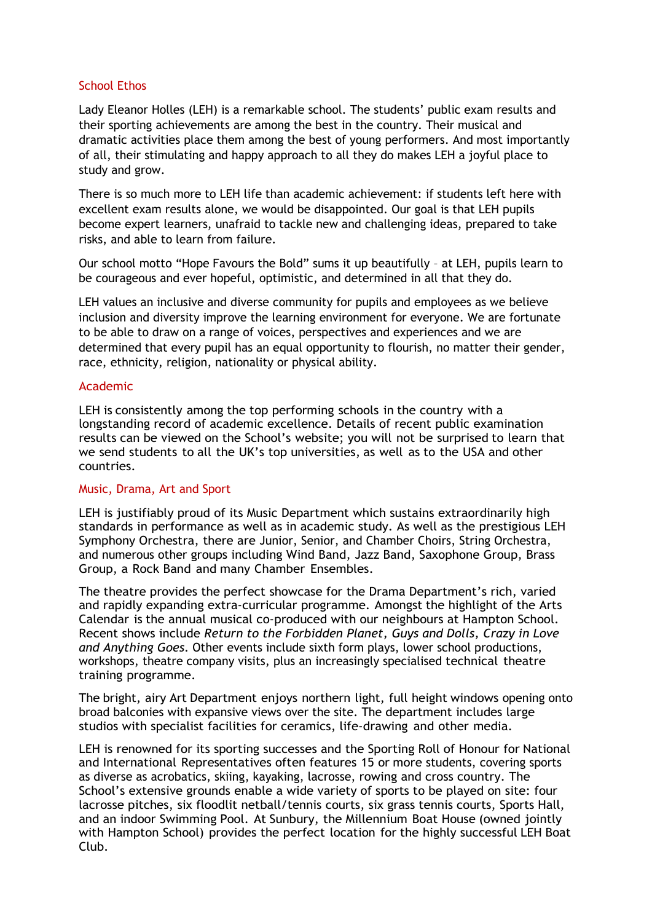#### School Ethos

Lady Eleanor Holles (LEH) is a remarkable school. The students' public exam results and their sporting achievements are among the best in the country. Their musical and dramatic activities place them among the best of young performers. And most importantly of all, their stimulating and happy approach to all they do makes LEH a joyful place to study and grow.

There is so much more to LEH life than academic achievement: if students left here with excellent exam results alone, we would be disappointed. Our goal is that LEH pupils become expert learners, unafraid to tackle new and challenging ideas, prepared to take risks, and able to learn from failure.

Our school motto "Hope Favours the Bold" sums it up beautifully – at LEH, pupils learn to be courageous and ever hopeful, optimistic, and determined in all that they do.

LEH values an inclusive and diverse community for pupils and employees as we believe inclusion and diversity improve the learning environment for everyone. We are fortunate to be able to draw on a range of voices, perspectives and experiences and we are determined that every pupil has an equal opportunity to flourish, no matter their gender, race, ethnicity, religion, nationality or physical ability.

#### Academic

LEH is consistently among the top performing schools in the country with a longstanding record of academic excellence. Details of recent public examination results can be viewed on the School's website; you will not be surprised to learn that we send students to all the UK's top universities, as well as to the USA and other countries.

## Music, Drama, Art and Sport

LEH is justifiably proud of its Music Department which sustains extraordinarily high standards in performance as well as in academic study. As well as the prestigious LEH Symphony Orchestra, there are Junior, Senior, and Chamber Choirs, String Orchestra, and numerous other groups including Wind Band, Jazz Band, Saxophone Group, Brass Group, a Rock Band and many Chamber Ensembles.

The theatre provides the perfect showcase for the Drama Department's rich, varied and rapidly expanding extra-curricular programme. Amongst the highlight of the Arts Calendar is the annual musical co-produced with our neighbours at Hampton School. Recent shows include *Return to the Forbidden Planet, Guys and Dolls, Crazy in Love and Anything Goes*. Other events include sixth form plays, lower school productions, workshops, theatre company visits, plus an increasingly specialised technical theatre training programme.

The bright, airy Art Department enjoys northern light, full height windows opening onto broad balconies with expansive views over the site. The department includes large studios with specialist facilities for ceramics, life-drawing and other media.

LEH is renowned for its sporting successes and the Sporting Roll of Honour for National and International Representatives often features 15 or more students, covering sports as diverse as acrobatics, skiing, kayaking, lacrosse, rowing and cross country. The School's extensive grounds enable a wide variety of sports to be played on site: four lacrosse pitches, six floodlit netball/tennis courts, six grass tennis courts, Sports Hall, and an indoor Swimming Pool. At Sunbury, the Millennium Boat House (owned jointly with Hampton School) provides the perfect location for the highly successful LEH Boat Club.